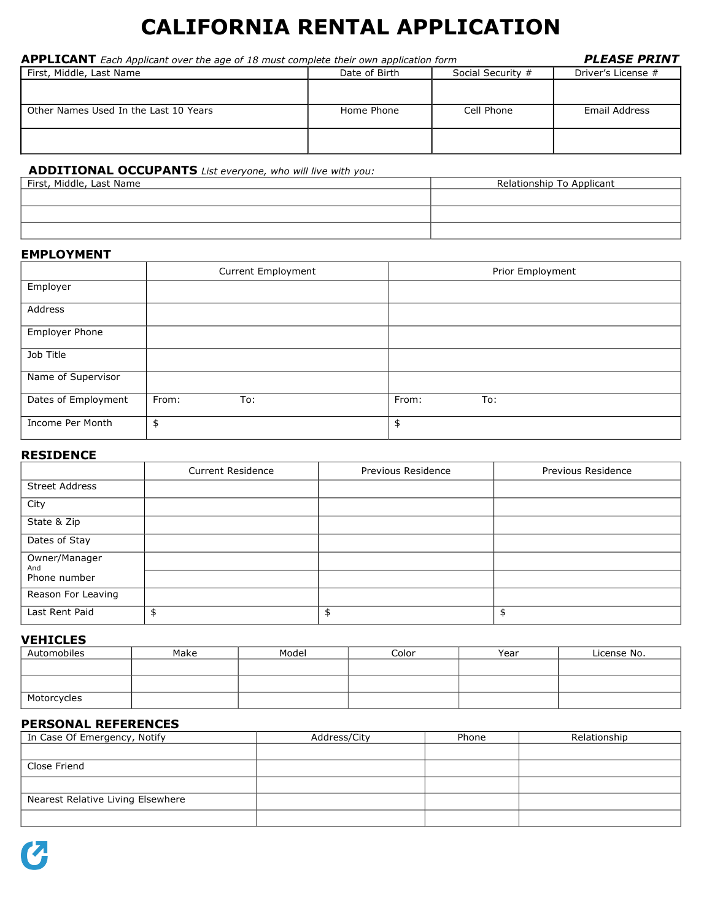# **CALIFORNIA RENTAL APPLICATION**

| <b>APPLICANT</b> Each Applicant over the age of 18 must complete their own application form | <b>PLEASE PRINT</b> |                   |                    |
|---------------------------------------------------------------------------------------------|---------------------|-------------------|--------------------|
| First, Middle, Last Name                                                                    | Date of Birth       | Social Security # | Driver's License # |
|                                                                                             |                     |                   |                    |
| Other Names Used In the Last 10 Years                                                       | Home Phone          | Cell Phone        | Email Address      |
|                                                                                             |                     |                   |                    |
|                                                                                             |                     |                   |                    |

## **ADDITIONAL OCCUPANTS** *List everyone, who will live with you:*

| First, Middle, Last Name | Relationship To Applicant |
|--------------------------|---------------------------|
|                          |                           |
|                          |                           |
|                          |                           |

#### **EMPLOYMENT**

|                       | Current Employment | Prior Employment |
|-----------------------|--------------------|------------------|
| Employer              |                    |                  |
| Address               |                    |                  |
| <b>Employer Phone</b> |                    |                  |
| Job Title             |                    |                  |
| Name of Supervisor    |                    |                  |
| Dates of Employment   | From:<br>To:       | From:<br>To:     |
| Income Per Month      | \$                 | \$               |

## **RESIDENCE**

|                       | <b>Current Residence</b> | Previous Residence | Previous Residence |
|-----------------------|--------------------------|--------------------|--------------------|
| <b>Street Address</b> |                          |                    |                    |
| City                  |                          |                    |                    |
| State & Zip           |                          |                    |                    |
| Dates of Stay         |                          |                    |                    |
| Owner/Manager<br>And  |                          |                    |                    |
| Phone number          |                          |                    |                    |
| Reason For Leaving    |                          |                    |                    |
| Last Rent Paid        |                          | \$                 | \$                 |

#### **VEHICLES**

| Automobiles | Make | Model | Color | Year | License No. |
|-------------|------|-------|-------|------|-------------|
|             |      |       |       |      |             |
|             |      |       |       |      |             |
| Motorcycles |      |       |       |      |             |

## **PERSONAL REFERENCES**

| In Case Of Emergency, Notify      | Address/City | Phone | Relationship |
|-----------------------------------|--------------|-------|--------------|
|                                   |              |       |              |
| Close Friend                      |              |       |              |
|                                   |              |       |              |
| Nearest Relative Living Elsewhere |              |       |              |
|                                   |              |       |              |